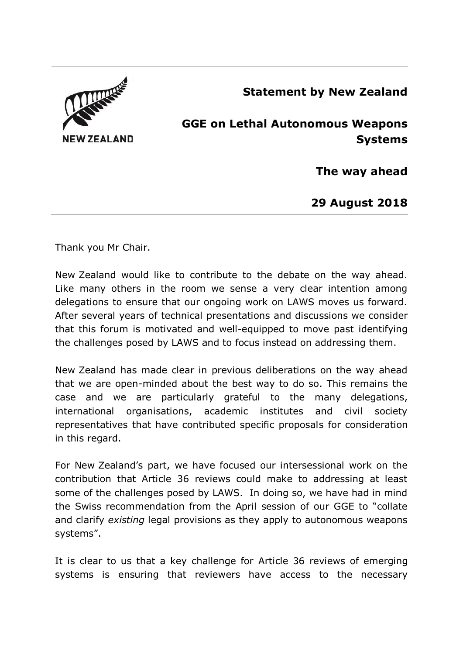

**Statement by New Zealand**

## **GGE on Lethal Autonomous Weapons Systems**

**The way ahead**

**29 August 2018**

Thank you Mr Chair.

New Zealand would like to contribute to the debate on the way ahead. Like many others in the room we sense a very clear intention among delegations to ensure that our ongoing work on LAWS moves us forward. After several years of technical presentations and discussions we consider that this forum is motivated and well-equipped to move past identifying the challenges posed by LAWS and to focus instead on addressing them.

New Zealand has made clear in previous deliberations on the way ahead that we are open-minded about the best way to do so. This remains the case and we are particularly grateful to the many delegations, international organisations, academic institutes and civil society representatives that have contributed specific proposals for consideration in this regard.

For New Zealand's part, we have focused our intersessional work on the contribution that Article 36 reviews could make to addressing at least some of the challenges posed by LAWS. In doing so, we have had in mind the Swiss recommendation from the April session of our GGE to "collate and clarify *existing* legal provisions as they apply to autonomous weapons systems".

It is clear to us that a key challenge for Article 36 reviews of emerging systems is ensuring that reviewers have access to the necessary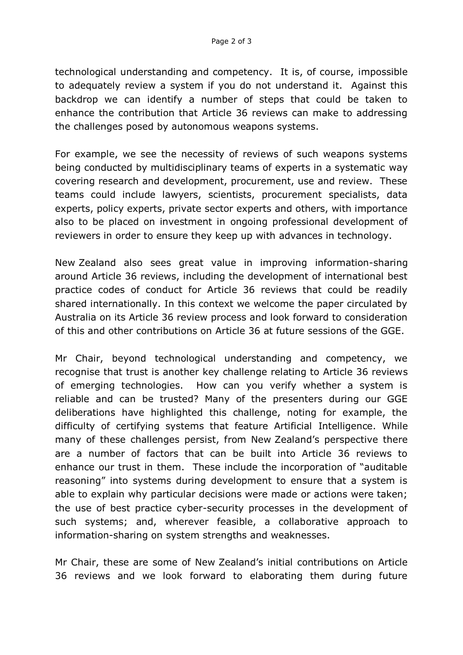technological understanding and competency. It is, of course, impossible to adequately review a system if you do not understand it. Against this backdrop we can identify a number of steps that could be taken to enhance the contribution that Article 36 reviews can make to addressing the challenges posed by autonomous weapons systems.

For example, we see the necessity of reviews of such weapons systems being conducted by multidisciplinary teams of experts in a systematic way covering research and development, procurement, use and review. These teams could include lawyers, scientists, procurement specialists, data experts, policy experts, private sector experts and others, with importance also to be placed on investment in ongoing professional development of reviewers in order to ensure they keep up with advances in technology.

New Zealand also sees great value in improving information-sharing around Article 36 reviews, including the development of international best practice codes of conduct for Article 36 reviews that could be readily shared internationally. In this context we welcome the paper circulated by Australia on its Article 36 review process and look forward to consideration of this and other contributions on Article 36 at future sessions of the GGE.

Mr Chair, beyond technological understanding and competency, we recognise that trust is another key challenge relating to Article 36 reviews of emerging technologies. How can you verify whether a system is reliable and can be trusted? Many of the presenters during our GGE deliberations have highlighted this challenge, noting for example, the difficulty of certifying systems that feature Artificial Intelligence. While many of these challenges persist, from New Zealand's perspective there are a number of factors that can be built into Article 36 reviews to enhance our trust in them. These include the incorporation of "auditable reasoning" into systems during development to ensure that a system is able to explain why particular decisions were made or actions were taken; the use of best practice cyber-security processes in the development of such systems; and, wherever feasible, a collaborative approach to information-sharing on system strengths and weaknesses.

Mr Chair, these are some of New Zealand's initial contributions on Article 36 reviews and we look forward to elaborating them during future